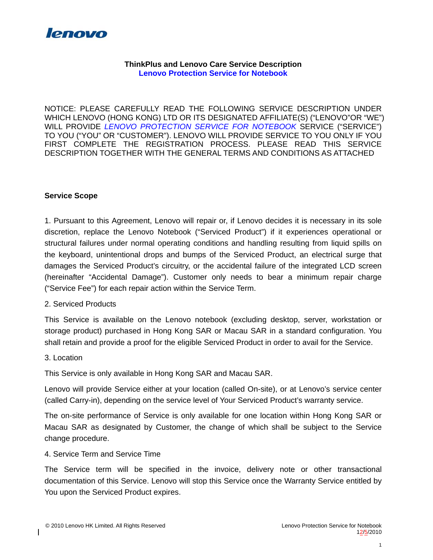

### **ThinkPlus and Lenovo Care Service Description Lenovo Protection Service for Notebook**

NOTICE: PLEASE CAREFULLY READ THE FOLLOWING SERVICE DESCRIPTION UNDER WHICH LENOVO (HONG KONG) LTD OR ITS DESIGNATED AFFILIATE(S) ("LENOVO"OR "WE") WILL PROVIDE *LENOVO PROTECTION SERVICE FOR NOTEBOOK* SERVICE ("SERVICE") TO YOU ("YOU" OR "CUSTOMER"). LENOVO WILL PROVIDE SERVICE TO YOU ONLY IF YOU FIRST COMPLETE THE REGISTRATION PROCESS. PLEASE READ THIS SERVICE DESCRIPTION TOGETHER WITH THE GENERAL TERMS AND CONDITIONS AS ATTACHED

### **Service Scope**

1. Pursuant to this Agreement, Lenovo will repair or, if Lenovo decides it is necessary in its sole discretion, replace the Lenovo Notebook ("Serviced Product") if it experiences operational or structural failures under normal operating conditions and handling resulting from liquid spills on the keyboard, unintentional drops and bumps of the Serviced Product, an electrical surge that damages the Serviced Product's circuitry, or the accidental failure of the integrated LCD screen (hereinafter "Accidental Damage"). Customer only needs to bear a minimum repair charge ("Service Fee") for each repair action within the Service Term.

### 2. Serviced Products

This Service is available on the Lenovo notebook (excluding desktop, server, workstation or storage product) purchased in Hong Kong SAR or Macau SAR in a standard configuration. You shall retain and provide a proof for the eligible Serviced Product in order to avail for the Service.

#### 3. Location

This Service is only available in Hong Kong SAR and Macau SAR.

Lenovo will provide Service either at your location (called On-site), or at Lenovo's service center (called Carry-in), depending on the service level of Your Serviced Product's warranty service.

The on-site performance of Service is only available for one location within Hong Kong SAR or Macau SAR as designated by Customer, the change of which shall be subject to the Service change procedure.

### 4. Service Term and Service Time

The Service term will be specified in the invoice, delivery note or other transactional documentation of this Service. Lenovo will stop this Service once the Warranty Service entitled by You upon the Serviced Product expires.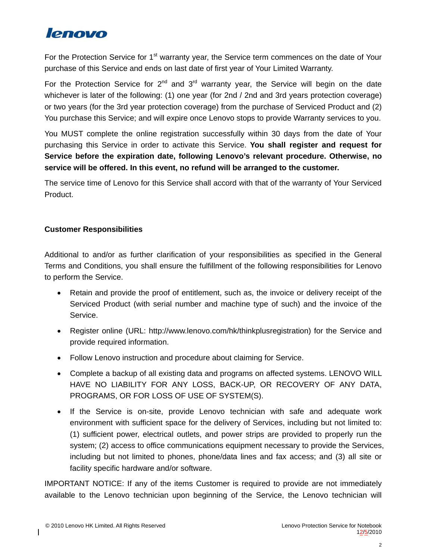

For the Protection Service for 1<sup>st</sup> warranty year, the Service term commences on the date of Your purchase of this Service and ends on last date of first year of Your Limited Warranty.

For the Protection Service for  $2^{nd}$  and  $3^{rd}$  warranty year, the Service will begin on the date whichever is later of the following: (1) one year (for 2nd / 2nd and 3rd years protection coverage) or two years (for the 3rd year protection coverage) from the purchase of Serviced Product and (2) You purchase this Service; and will expire once Lenovo stops to provide Warranty services to you.

You MUST complete the online registration successfully within 30 days from the date of Your purchasing this Service in order to activate this Service. **You shall register and request for Service before the expiration date, following Lenovo's relevant procedure. Otherwise, no service will be offered. In this event, no refund will be arranged to the customer.**

The service time of Lenovo for this Service shall accord with that of the warranty of Your Serviced Product.

## **Customer Responsibilities**

Additional to and/or as further clarification of your responsibilities as specified in the General Terms and Conditions, you shall ensure the fulfillment of the following responsibilities for Lenovo to perform the Service.

- Retain and provide the proof of entitlement, such as, the invoice or delivery receipt of the Serviced Product (with serial number and machine type of such) and the invoice of the Service.
- Register online (URL: http://www.lenovo.com/hk/thinkplusregistration) for the Service and provide required information.
- Follow Lenovo instruction and procedure about claiming for Service.
- Complete a backup of all existing data and programs on affected systems. LENOVO WILL HAVE NO LIABILITY FOR ANY LOSS, BACK-UP, OR RECOVERY OF ANY DATA, PROGRAMS, OR FOR LOSS OF USE OF SYSTEM(S).
- If the Service is on-site, provide Lenovo technician with safe and adequate work environment with sufficient space for the delivery of Services, including but not limited to: (1) sufficient power, electrical outlets, and power strips are provided to properly run the system; (2) access to office communications equipment necessary to provide the Services, including but not limited to phones, phone/data lines and fax access; and (3) all site or facility specific hardware and/or software.

IMPORTANT NOTICE: If any of the items Customer is required to provide are not immediately available to the Lenovo technician upon beginning of the Service, the Lenovo technician will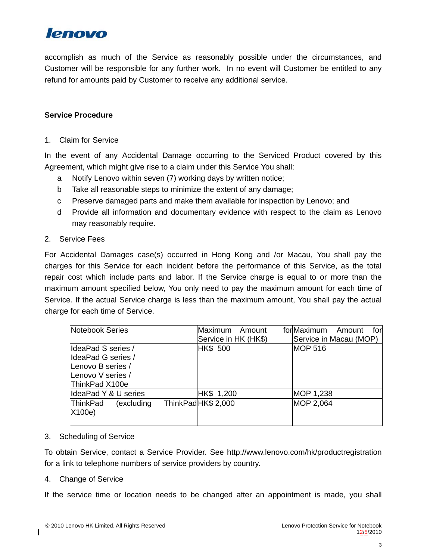

accomplish as much of the Service as reasonably possible under the circumstances, and Customer will be responsible for any further work. In no event will Customer be entitled to any refund for amounts paid by Customer to receive any additional service.

### **Service Procedure**

1. Claim for Service

In the event of any Accidental Damage occurring to the Serviced Product covered by this Agreement, which might give rise to a claim under this Service You shall:

- a Notify Lenovo within seven (7) working days by written notice;
- b Take all reasonable steps to minimize the extent of any damage;
- c Preserve damaged parts and make them available for inspection by Lenovo; and
- d Provide all information and documentary evidence with respect to the claim as Lenovo may reasonably require.
- 2. Service Fees

For Accidental Damages case(s) occurred in Hong Kong and /or Macau, You shall pay the charges for this Service for each incident before the performance of this Service, as the total repair cost which include parts and labor. If the Service charge is equal to or more than the maximum amount specified below, You only need to pay the maximum amount for each time of Service. If the actual Service charge is less than the maximum amount, You shall pay the actual charge for each time of Service.

| Notebook Series               | Maximum<br>Amount    | forMaximum<br>Amount<br>for |
|-------------------------------|----------------------|-----------------------------|
|                               | Service in HK (HK\$) | Service in Macau (MOP)      |
| IdeaPad S series /            | <b>HK\$ 500</b>      | <b>MOP 516</b>              |
| IdeaPad G series /            |                      |                             |
| Lenovo B series /             |                      |                             |
| Lenovo V series /             |                      |                             |
| ThinkPad X100e                |                      |                             |
| IdeaPad Y & U series          | HK\$ 1,200           | MOP 1,238                   |
| <b>ThinkPad</b><br>(excluding | ThinkPad HK\$ 2,000  | MOP 2,064                   |
| $ X100e\rangle$               |                      |                             |
|                               |                      |                             |

3. Scheduling of Service

To obtain Service, contact a Service Provider. See http://www.lenovo.com/hk/productregistration for a link to telephone numbers of service providers by country.

4. Change of Service

If the service time or location needs to be changed after an appointment is made, you shall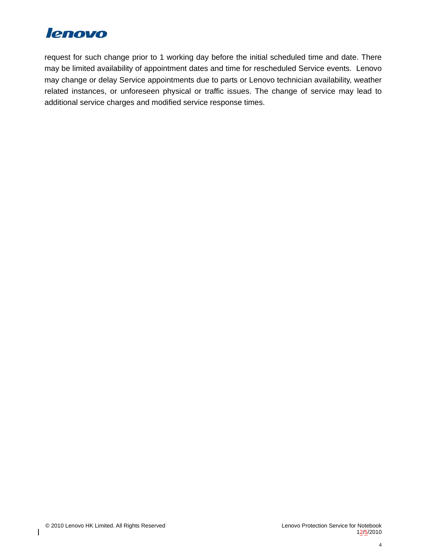

request for such change prior to 1 working day before the initial scheduled time and date. There may be limited availability of appointment dates and time for rescheduled Service events. Lenovo may change or delay Service appointments due to parts or Lenovo technician availability, weather related instances, or unforeseen physical or traffic issues. The change of service may lead to additional service charges and modified service response times.

 $\overline{\phantom{a}}$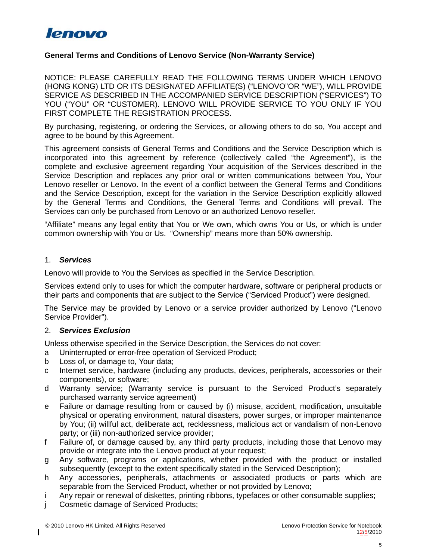

### **General Terms and Conditions of Lenovo Service (Non-Warranty Service)**

NOTICE: PLEASE CAREFULLY READ THE FOLLOWING TERMS UNDER WHICH LENOVO (HONG KONG) LTD OR ITS DESIGNATED AFFILIATE(S) ("LENOVO"OR "WE"), WILL PROVIDE SERVICE AS DESCRIBED IN THE ACCOMPANIED SERVICE DESCRIPTION ("SERVICES") TO YOU ("YOU" OR "CUSTOMER). LENOVO WILL PROVIDE SERVICE TO YOU ONLY IF YOU FIRST COMPLETE THE REGISTRATION PROCESS.

By purchasing, registering, or ordering the Services, or allowing others to do so, You accept and agree to be bound by this Agreement.

This agreement consists of General Terms and Conditions and the Service Description which is incorporated into this agreement by reference (collectively called "the Agreement"), is the complete and exclusive agreement regarding Your acquisition of the Services described in the Service Description and replaces any prior oral or written communications between You, Your Lenovo reseller or Lenovo. In the event of a conflict between the General Terms and Conditions and the Service Description, except for the variation in the Service Description explicitly allowed by the General Terms and Conditions, the General Terms and Conditions will prevail. The Services can only be purchased from Lenovo or an authorized Lenovo reseller.

"Affiliate" means any legal entity that You or We own, which owns You or Us, or which is under common ownership with You or Us. "Ownership" means more than 50% ownership.

#### 1. *Services*

Lenovo will provide to You the Services as specified in the Service Description.

Services extend only to uses for which the computer hardware, software or peripheral products or their parts and components that are subject to the Service ("Serviced Product") were designed.

The Service may be provided by Lenovo or a service provider authorized by Lenovo ("Lenovo Service Provider").

### 2. *Services Exclusion*

Unless otherwise specified in the Service Description, the Services do not cover:

- a Uninterrupted or error-free operation of Serviced Product;
- b Loss of, or damage to, Your data;
- c Internet service, hardware (including any products, devices, peripherals, accessories or their components), or software;
- d Warranty service; (Warranty service is pursuant to the Serviced Product's separately purchased warranty service agreement)
- e Failure or damage resulting from or caused by (i) misuse, accident, modification, unsuitable physical or operating environment, natural disasters, power surges, or improper maintenance by You; (ii) willful act, deliberate act, recklessness, malicious act or vandalism of non-Lenovo party; or (iii) non-authorized service provider;
- f Failure of, or damage caused by, any third party products, including those that Lenovo may provide or integrate into the Lenovo product at your request;
- g Any software, programs or applications, whether provided with the product or installed subsequently (except to the extent specifically stated in the Serviced Description);
- h Any accessories, peripherals, attachments or associated products or parts which are separable from the Serviced Product, whether or not provided by Lenovo;
- i Any repair or renewal of diskettes, printing ribbons, typefaces or other consumable supplies;
- j Cosmetic damage of Serviced Products;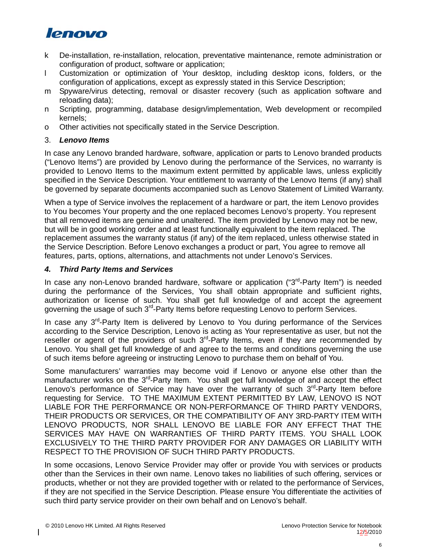# lenovo

- k De-installation, re-installation, relocation, preventative maintenance, remote administration or configuration of product, software or application;
- l Customization or optimization of Your desktop, including desktop icons, folders, or the configuration of applications, except as expressly stated in this Service Description;
- m Spyware/virus detecting, removal or disaster recovery (such as application software and reloading data);
- n Scripting, programming, database design/implementation, Web development or recompiled kernels;
- o Other activities not specifically stated in the Service Description.

## 3. *Lenovo Items*

In case any Lenovo branded hardware, software, application or parts to Lenovo branded products ("Lenovo Items") are provided by Lenovo during the performance of the Services, no warranty is provided to Lenovo Items to the maximum extent permitted by applicable laws, unless explicitly specified in the Service Description. Your entitlement to warranty of the Lenovo Items (if any) shall be governed by separate documents accompanied such as Lenovo Statement of Limited Warranty.

When a type of Service involves the replacement of a hardware or part, the item Lenovo provides to You becomes Your property and the one replaced becomes Lenovo's property. You represent that all removed items are genuine and unaltered. The item provided by Lenovo may not be new, but will be in good working order and at least functionally equivalent to the item replaced. The replacement assumes the warranty status (if any) of the item replaced, unless otherwise stated in the Service Description. Before Lenovo exchanges a product or part, You agree to remove all features, parts, options, alternations, and attachments not under Lenovo's Services.

## *4. Third Party Items and Services*

In case any non-Lenovo branded hardware, software or application ("3<sup>rd</sup>-Party Item") is needed during the performance of the Services, You shall obtain appropriate and sufficient rights, authorization or license of such. You shall get full knowledge of and accept the agreement governing the usage of such 3<sup>rd</sup>-Party Items before requesting Lenovo to perform Services.

In case any  $3<sup>rd</sup>$ -Party Item is delivered by Lenovo to You during performance of the Services according to the Service Description, Lenovo is acting as Your representative as user, but not the reseller or agent of the providers of such  $3<sup>rd</sup>$ -Party Items, even if they are recommended by Lenovo. You shall get full knowledge of and agree to the terms and conditions governing the use of such items before agreeing or instructing Lenovo to purchase them on behalf of You.

Some manufacturers' warranties may become void if Lenovo or anyone else other than the manufacturer works on the  $3<sup>rd</sup>$ -Party Item. You shall get full knowledge of and accept the effect Lenovo's performance of Service may have over the warranty of such  $3<sup>rd</sup>$ -Party Item before requesting for Service. TO THE MAXIMUM EXTENT PERMITTED BY LAW, LENOVO IS NOT LIABLE FOR THE PERFORMANCE OR NON-PERFORMANCE OF THIRD PARTY VENDORS, THEIR PRODUCTS OR SERVICES, OR THE COMPATIBILITY OF ANY 3RD-PARTY ITEM WITH LENOVO PRODUCTS, NOR SHALL LENOVO BE LIABLE FOR ANY EFFECT THAT THE SERVICES MAY HAVE ON WARRANTIES OF THIRD PARTY ITEMS. YOU SHALL LOOK EXCLUSIVELY TO THE THIRD PARTY PROVIDER FOR ANY DAMAGES OR LIABILITY WITH RESPECT TO THE PROVISION OF SUCH THIRD PARTY PRODUCTS.

In some occasions, Lenovo Service Provider may offer or provide You with services or products other than the Services in their own name. Lenovo takes no liabilities of such offering, services or products, whether or not they are provided together with or related to the performance of Services, if they are not specified in the Service Description. Please ensure You differentiate the activities of such third party service provider on their own behalf and on Lenovo's behalf.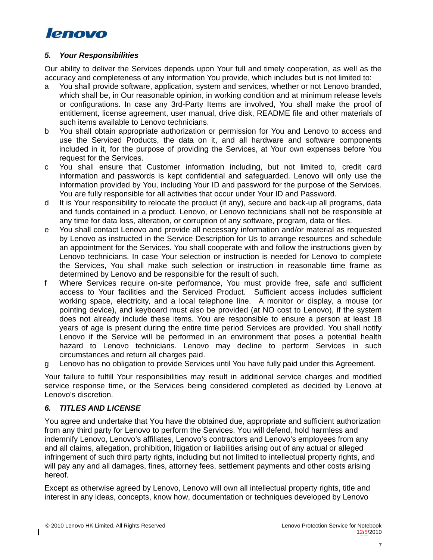

### *5. Your Responsibilities*

Our ability to deliver the Services depends upon Your full and timely cooperation, as well as the accuracy and completeness of any information You provide, which includes but is not limited to:

- a You shall provide software, application, system and services, whether or not Lenovo branded, which shall be, in Our reasonable opinion, in working condition and at minimum release levels or configurations. In case any 3rd-Party Items are involved, You shall make the proof of entitlement, license agreement, user manual, drive disk, README file and other materials of such items available to Lenovo technicians.
- b You shall obtain appropriate authorization or permission for You and Lenovo to access and use the Serviced Products, the data on it, and all hardware and software components included in it, for the purpose of providing the Services, at Your own expenses before You request for the Services.
- c You shall ensure that Customer information including, but not limited to, credit card information and passwords is kept confidential and safeguarded. Lenovo will only use the information provided by You, including Your ID and password for the purpose of the Services. You are fully responsible for all activities that occur under Your ID and Password.
- d It is Your responsibility to relocate the product (if any), secure and back-up all programs, data and funds contained in a product. Lenovo, or Lenovo technicians shall not be responsible at any time for data loss, alteration, or corruption of any software, program, data or files.
- e You shall contact Lenovo and provide all necessary information and/or material as requested by Lenovo as instructed in the Service Description for Us to arrange resources and schedule an appointment for the Services. You shall cooperate with and follow the instructions given by Lenovo technicians. In case Your selection or instruction is needed for Lenovo to complete the Services, You shall make such selection or instruction in reasonable time frame as determined by Lenovo and be responsible for the result of such.
- f Where Services require on-site performance, You must provide free, safe and sufficient access to Your facilities and the Serviced Product. Sufficient access includes sufficient working space, electricity, and a local telephone line. A monitor or display, a mouse (or pointing device), and keyboard must also be provided (at NO cost to Lenovo), if the system does not already include these items. You are responsible to ensure a person at least 18 years of age is present during the entire time period Services are provided. You shall notify Lenovo if the Service will be performed in an environment that poses a potential health hazard to Lenovo technicians. Lenovo may decline to perform Services in such circumstances and return all charges paid.
- g Lenovo has no obligation to provide Services until You have fully paid under this Agreement.

Your failure to fulfill Your responsibilities may result in additional service charges and modified service response time, or the Services being considered completed as decided by Lenovo at Lenovo's discretion.

## *6. TITLES AND LICENSE*

You agree and undertake that You have the obtained due, appropriate and sufficient authorization from any third party for Lenovo to perform the Services. You will defend, hold harmless and indemnify Lenovo, Lenovo's affiliates, Lenovo's contractors and Lenovo's employees from any and all claims, allegation, prohibition, litigation or liabilities arising out of any actual or alleged infringement of such third party rights, including but not limited to intellectual property rights, and will pay any and all damages, fines, attorney fees, settlement payments and other costs arising hereof.

Except as otherwise agreed by Lenovo, Lenovo will own all intellectual property rights, title and interest in any ideas, concepts, know how, documentation or techniques developed by Lenovo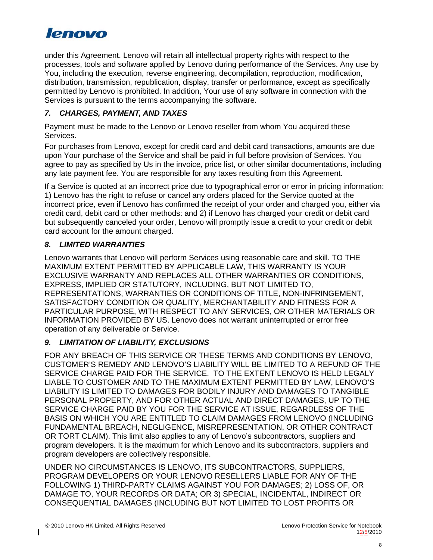

under this Agreement. Lenovo will retain all intellectual property rights with respect to the processes, tools and software applied by Lenovo during performance of the Services. Any use by You, including the execution, reverse engineering, decompilation, reproduction, modification, distribution, transmission, republication, display, transfer or performance, except as specifically permitted by Lenovo is prohibited. In addition, Your use of any software in connection with the Services is pursuant to the terms accompanying the software.

## *7. CHARGES, PAYMENT, AND TAXES*

Payment must be made to the Lenovo or Lenovo reseller from whom You acquired these Services.

For purchases from Lenovo, except for credit card and debit card transactions, amounts are due upon Your purchase of the Service and shall be paid in full before provision of Services. You agree to pay as specified by Us in the invoice, price list, or other similar documentations, including any late payment fee. You are responsible for any taxes resulting from this Agreement.

If a Service is quoted at an incorrect price due to typographical error or error in pricing information: 1) Lenovo has the right to refuse or cancel any orders placed for the Service quoted at the incorrect price, even if Lenovo has confirmed the receipt of your order and charged you, either via credit card, debit card or other methods: and 2) if Lenovo has charged your credit or debit card but subsequently canceled your order, Lenovo will promptly issue a credit to your credit or debit card account for the amount charged.

## *8. LIMITED WARRANTIES*

Lenovo warrants that Lenovo will perform Services using reasonable care and skill. TO THE MAXIMUM EXTENT PERMITTED BY APPLICABLE LAW, THIS WARRANTY IS YOUR EXCLUSIVE WARRANTY AND REPLACES ALL OTHER WARRANTIES OR CONDITIONS, EXPRESS, IMPLIED OR STATUTORY, INCLUDING, BUT NOT LIMITED TO, REPRESENTATIONS, WARRANTIES OR CONDITIONS OF TITLE, NON-INFRINGEMENT, SATISFACTORY CONDITION OR QUALITY, MERCHANTABILITY AND FITNESS FOR A PARTICULAR PURPOSE, WITH RESPECT TO ANY SERVICES, OR OTHER MATERIALS OR INFORMATION PROVIDED BY US. Lenovo does not warrant uninterrupted or error free operation of any deliverable or Service.

# *9. LIMITATION OF LIABILITY, EXCLUSIONS*

FOR ANY BREACH OF THIS SERVICE OR THESE TERMS AND CONDITIONS BY LENOVO, CUSTOMER'S REMEDY AND LENOVO'S LIABILITY WILL BE LIMITED TO A REFUND OF THE SERVICE CHARGE PAID FOR THE SERVICE. TO THE EXTENT LENOVO IS HELD LEGALY LIABLE TO CUSTOMER AND TO THE MAXIMUM EXTENT PERMITTED BY LAW, LENOVO'S LIABILITY IS LIMITED TO DAMAGES FOR BODILY INJURY AND DAMAGES TO TANGIBLE PERSONAL PROPERTY, AND FOR OTHER ACTUAL AND DIRECT DAMAGES, UP TO THE SERVICE CHARGE PAID BY YOU FOR THE SERVICE AT ISSUE, REGARDLESS OF THE BASIS ON WHICH YOU ARE ENTITLED TO CLAIM DAMAGES FROM LENOVO (INCLUDING FUNDAMENTAL BREACH, NEGLIGENCE, MISREPRESENTATION, OR OTHER CONTRACT OR TORT CLAIM). This limit also applies to any of Lenovo's subcontractors, suppliers and program developers. It is the maximum for which Lenovo and its subcontractors, suppliers and program developers are collectively responsible.

UNDER NO CIRCUMSTANCES IS LENOVO, ITS SUBCONTRACTORS, SUPPLIERS, PROGRAM DEVELOPERS OR YOUR LENOVO RESELLERS LIABLE FOR ANY OF THE FOLLOWING 1) THIRD-PARTY CLAIMS AGAINST YOU FOR DAMAGES; 2) LOSS OF, OR DAMAGE TO, YOUR RECORDS OR DATA; OR 3) SPECIAL, INCIDENTAL, INDIRECT OR CONSEQUENTIAL DAMAGES (INCLUDING BUT NOT LIMITED TO LOST PROFITS OR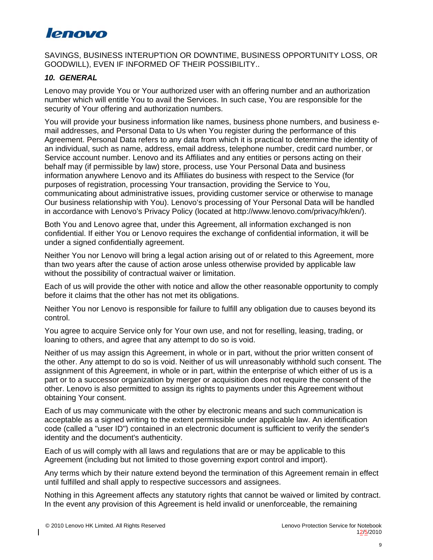# **lenovo**

SAVINGS, BUSINESS INTERUPTION OR DOWNTIME, BUSINESS OPPORTUNITY LOSS, OR GOODWILL), EVEN IF INFORMED OF THEIR POSSIBILITY..

## *10. GENERAL*

Lenovo may provide You or Your authorized user with an offering number and an authorization number which will entitle You to avail the Services. In such case, You are responsible for the security of Your offering and authorization numbers.

You will provide your business information like names, business phone numbers, and business email addresses, and Personal Data to Us when You register during the performance of this Agreement. Personal Data refers to any data from which it is practical to determine the identity of an individual, such as name, address, email address, telephone number, credit card number, or Service account number. Lenovo and its Affiliates and any entities or persons acting on their behalf may (if permissible by law) store, process, use Your Personal Data and business information anywhere Lenovo and its Affiliates do business with respect to the Service (for purposes of registration, processing Your transaction, providing the Service to You, communicating about administrative issues, providing customer service or otherwise to manage Our business relationship with You). Lenovo's processing of Your Personal Data will be handled in accordance with Lenovo's Privacy Policy (located at http://www.lenovo.com/privacy/hk/en/).

Both You and Lenovo agree that, under this Agreement, all information exchanged is non confidential. If either You or Lenovo requires the exchange of confidential information, it will be under a signed confidentially agreement.

Neither You nor Lenovo will bring a legal action arising out of or related to this Agreement, more than two years after the cause of action arose unless otherwise provided by applicable law without the possibility of contractual waiver or limitation.

Each of us will provide the other with notice and allow the other reasonable opportunity to comply before it claims that the other has not met its obligations.

Neither You nor Lenovo is responsible for failure to fulfill any obligation due to causes beyond its control.

You agree to acquire Service only for Your own use, and not for reselling, leasing, trading, or loaning to others, and agree that any attempt to do so is void.

Neither of us may assign this Agreement, in whole or in part, without the prior written consent of the other. Any attempt to do so is void. Neither of us will unreasonably withhold such consent. The assignment of this Agreement, in whole or in part, within the enterprise of which either of us is a part or to a successor organization by merger or acquisition does not require the consent of the other. Lenovo is also permitted to assign its rights to payments under this Agreement without obtaining Your consent.

Each of us may communicate with the other by electronic means and such communication is acceptable as a signed writing to the extent permissible under applicable law. An identification code (called a "user ID") contained in an electronic document is sufficient to verify the sender's identity and the document's authenticity.

Each of us will comply with all laws and regulations that are or may be applicable to this Agreement (including but not limited to those governing export control and import).

Any terms which by their nature extend beyond the termination of this Agreement remain in effect until fulfilled and shall apply to respective successors and assignees.

Nothing in this Agreement affects any statutory rights that cannot be waived or limited by contract. In the event any provision of this Agreement is held invalid or unenforceable, the remaining